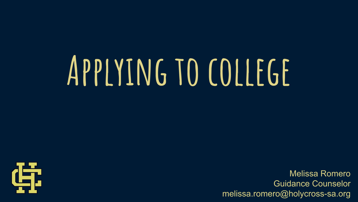# **Applying to college**



Melissa Romero Guidance Counselor melissa.romero@holycross-sa.org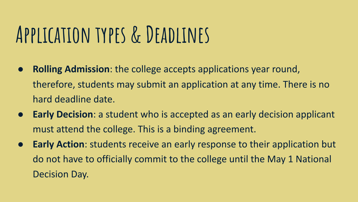## **Application types & Deadlines**

- **Rolling Admission**: the college accepts applications year round, therefore, students may submit an application at any time. There is no hard deadline date.
- **Early Decision**: a student who is accepted as an early decision applicant must attend the college. This is a binding agreement.
- **Early Action**: students receive an early response to their application but do not have to officially commit to the college until the May 1 National Decision Day.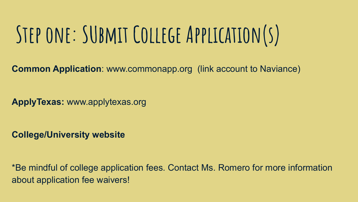## **Step one: SUbmit College Application(s)**

**Common Application**: www.commonapp.org (link account to Naviance)

**ApplyTexas:** www.applytexas.org

**College/University website**

\*Be mindful of college application fees. Contact Ms. Romero for more information about application fee waivers!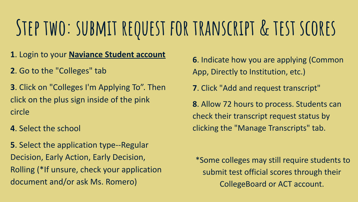### **Step two: submit request for transcript & test scores**

**1**. Login to your **[Naviance Student account](https://student.naviance.com/hcsa)**

**2**. Go to the "Colleges" tab

**3**. Click on "Colleges I'm Applying To". Then click on the plus sign inside of the pink circle

**4**. Select the school

**5**. Select the application type--Regular Decision, Early Action, Early Decision, Rolling (\*If unsure, check your application document and/or ask Ms. Romero)

**6**. Indicate how you are applying (Common App, Directly to Institution, etc.)

**7**. Click "Add and request transcript"

**8**. Allow 72 hours to process. Students can check their transcript request status by clicking the "Manage Transcripts" tab.

 \*Some colleges may still require students to submit test official scores through their CollegeBoard or ACT account.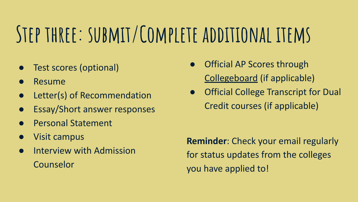## **Step three: submit/Complete additional items**

- Test scores (optional)
- **Resume**
- Letter(s) of Recommendation
- **Essay/Short answer responses**
- Personal Statement
- **Visit campus**
- Interview with Admission Counselor
- **Official AP Scores through** [Collegeboard](https://www.collegeboard.org/) (if applicable)
- **Official College Transcript for Dual** Credit courses (if applicable)

**Reminder**: Check your email regularly for status updates from the colleges you have applied to!